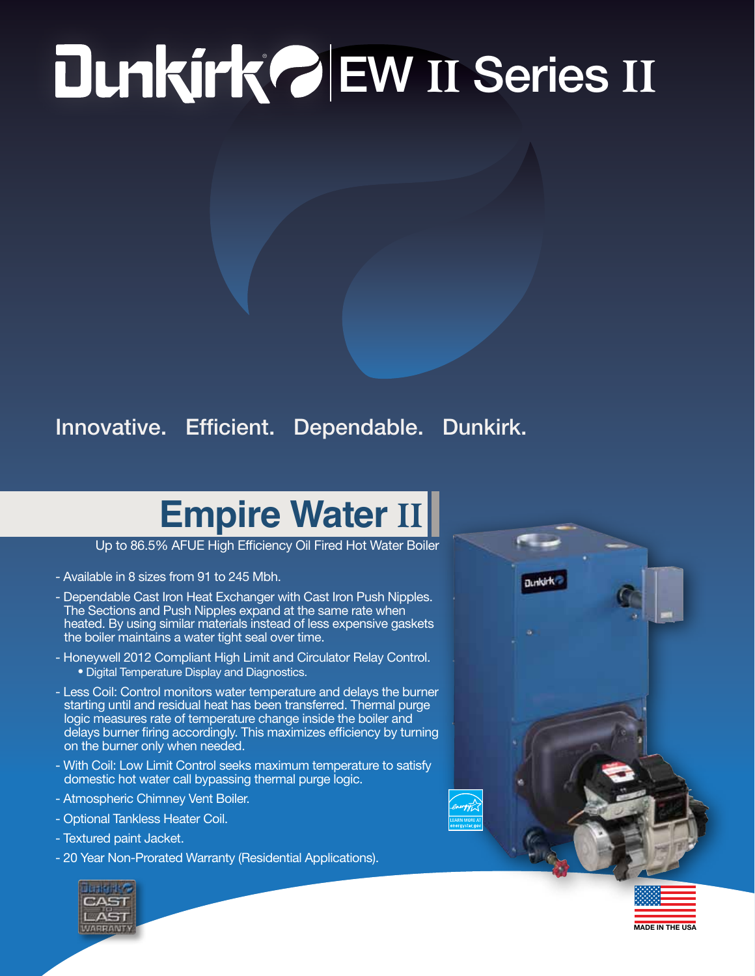## ® EW II Series II

## Innovative. Efficient. Dependable. Dunkirk.

## **Empire Water** II

Up to 86.5% AFUE High Efficiency Oil Fired Hot Water Boiler

- Available in 8 sizes from 91 to 245 Mbh.
- Dependable Cast Iron Heat Exchanger with Cast Iron Push Nipples. The Sections and Push Nipples expand at the same rate when heated. By using similar materials instead of less expensive gaskets the boiler maintains a water tight seal over time.
- Honeywell 2012 Compliant High Limit and Circulator Relay Control. • Digital Temperature Display and Diagnostics.
- Less Coil: Control monitors water temperature and delays the burner starting until and residual heat has been transferred. Thermal purge logic measures rate of temperature change inside the boiler and delays burner firing accordingly. This maximizes efficiency by turning on the burner only when needed.
- With Coil: Low Limit Control seeks maximum temperature to satisfy domestic hot water call bypassing thermal purge logic.
- Atmospheric Chimney Vent Boiler.
- Optional Tankless Heater Coil.
- Textured paint Jacket.
- 20 Year Non-Prorated Warranty (Residential Applications).